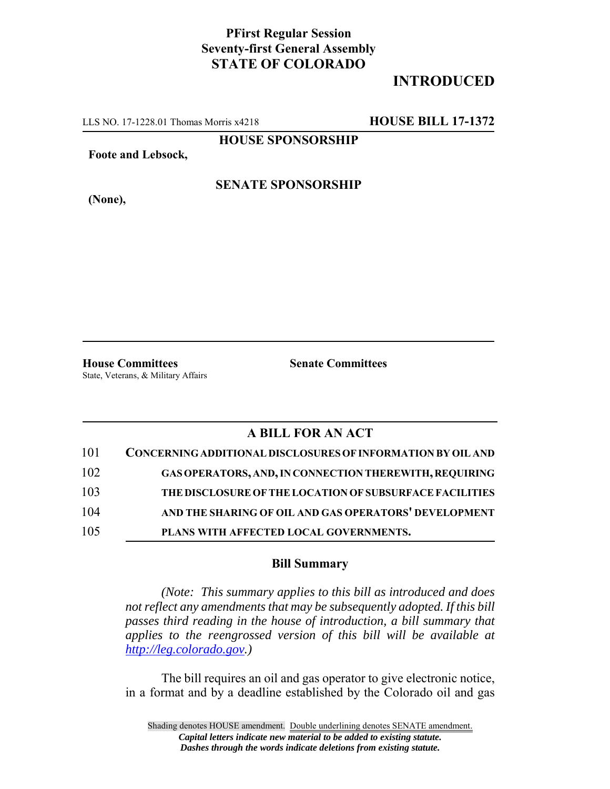## **PFirst Regular Session Seventy-first General Assembly STATE OF COLORADO**

# **INTRODUCED**

LLS NO. 17-1228.01 Thomas Morris x4218 **HOUSE BILL 17-1372**

**HOUSE SPONSORSHIP**

**Foote and Lebsock,**

**(None),**

#### **SENATE SPONSORSHIP**

**House Committees Senate Committees** State, Veterans, & Military Affairs

### **A BILL FOR AN ACT**

| 101 | CONCERNING ADDITIONAL DISCLOSURES OF INFORMATION BY OIL AND |
|-----|-------------------------------------------------------------|
| 102 | GAS OPERATORS, AND, IN CONNECTION THEREWITH, REQUIRING      |
| 103 | THE DISCLOSURE OF THE LOCATION OF SUBSURFACE FACILITIES     |
| 104 | AND THE SHARING OF OIL AND GAS OPERATORS' DEVELOPMENT       |
| 105 | PLANS WITH AFFECTED LOCAL GOVERNMENTS.                      |

#### **Bill Summary**

*(Note: This summary applies to this bill as introduced and does not reflect any amendments that may be subsequently adopted. If this bill passes third reading in the house of introduction, a bill summary that applies to the reengrossed version of this bill will be available at http://leg.colorado.gov.)*

The bill requires an oil and gas operator to give electronic notice, in a format and by a deadline established by the Colorado oil and gas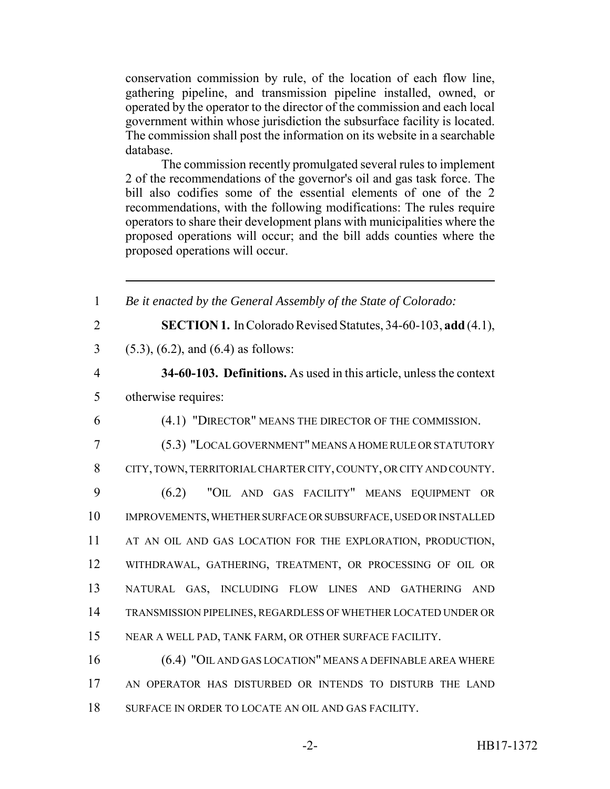conservation commission by rule, of the location of each flow line, gathering pipeline, and transmission pipeline installed, owned, or operated by the operator to the director of the commission and each local government within whose jurisdiction the subsurface facility is located. The commission shall post the information on its website in a searchable database.

The commission recently promulgated several rules to implement 2 of the recommendations of the governor's oil and gas task force. The bill also codifies some of the essential elements of one of the 2 recommendations, with the following modifications: The rules require operators to share their development plans with municipalities where the proposed operations will occur; and the bill adds counties where the proposed operations will occur.

 *Be it enacted by the General Assembly of the State of Colorado:* **SECTION 1.** In Colorado Revised Statutes, 34-60-103, **add** (4.1), (5.3), (6.2), and (6.4) as follows: **34-60-103. Definitions.** As used in this article, unless the context otherwise requires: (4.1) "DIRECTOR" MEANS THE DIRECTOR OF THE COMMISSION. (5.3) "LOCAL GOVERNMENT" MEANS A HOME RULE OR STATUTORY CITY, TOWN, TERRITORIAL CHARTER CITY, COUNTY, OR CITY AND COUNTY. (6.2) "OIL AND GAS FACILITY" MEANS EQUIPMENT OR IMPROVEMENTS, WHETHER SURFACE OR SUBSURFACE, USED OR INSTALLED 11 AT AN OIL AND GAS LOCATION FOR THE EXPLORATION, PRODUCTION, WITHDRAWAL, GATHERING, TREATMENT, OR PROCESSING OF OIL OR NATURAL GAS, INCLUDING FLOW LINES AND GATHERING AND TRANSMISSION PIPELINES, REGARDLESS OF WHETHER LOCATED UNDER OR NEAR A WELL PAD, TANK FARM, OR OTHER SURFACE FACILITY. (6.4) "OIL AND GAS LOCATION" MEANS A DEFINABLE AREA WHERE AN OPERATOR HAS DISTURBED OR INTENDS TO DISTURB THE LAND SURFACE IN ORDER TO LOCATE AN OIL AND GAS FACILITY.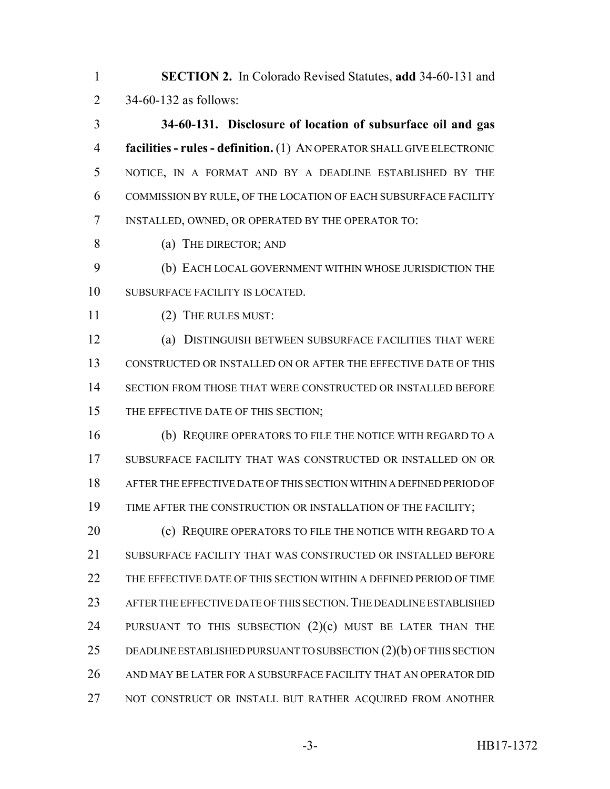**SECTION 2.** In Colorado Revised Statutes, **add** 34-60-131 and 34-60-132 as follows:

 **34-60-131. Disclosure of location of subsurface oil and gas facilities - rules - definition.** (1) AN OPERATOR SHALL GIVE ELECTRONIC NOTICE, IN A FORMAT AND BY A DEADLINE ESTABLISHED BY THE COMMISSION BY RULE, OF THE LOCATION OF EACH SUBSURFACE FACILITY INSTALLED, OWNED, OR OPERATED BY THE OPERATOR TO:

(a) THE DIRECTOR; AND

 (b) EACH LOCAL GOVERNMENT WITHIN WHOSE JURISDICTION THE SUBSURFACE FACILITY IS LOCATED.

(2) THE RULES MUST:

 (a) DISTINGUISH BETWEEN SUBSURFACE FACILITIES THAT WERE CONSTRUCTED OR INSTALLED ON OR AFTER THE EFFECTIVE DATE OF THIS SECTION FROM THOSE THAT WERE CONSTRUCTED OR INSTALLED BEFORE 15 THE EFFECTIVE DATE OF THIS SECTION;

 (b) REQUIRE OPERATORS TO FILE THE NOTICE WITH REGARD TO A SUBSURFACE FACILITY THAT WAS CONSTRUCTED OR INSTALLED ON OR AFTER THE EFFECTIVE DATE OF THIS SECTION WITHIN A DEFINED PERIOD OF TIME AFTER THE CONSTRUCTION OR INSTALLATION OF THE FACILITY;

**(c) REQUIRE OPERATORS TO FILE THE NOTICE WITH REGARD TO A**  SUBSURFACE FACILITY THAT WAS CONSTRUCTED OR INSTALLED BEFORE THE EFFECTIVE DATE OF THIS SECTION WITHIN A DEFINED PERIOD OF TIME AFTER THE EFFECTIVE DATE OF THIS SECTION.THE DEADLINE ESTABLISHED 24 PURSUANT TO THIS SUBSECTION  $(2)(c)$  must be later than the DEADLINE ESTABLISHED PURSUANT TO SUBSECTION (2)(b) OF THIS SECTION AND MAY BE LATER FOR A SUBSURFACE FACILITY THAT AN OPERATOR DID NOT CONSTRUCT OR INSTALL BUT RATHER ACQUIRED FROM ANOTHER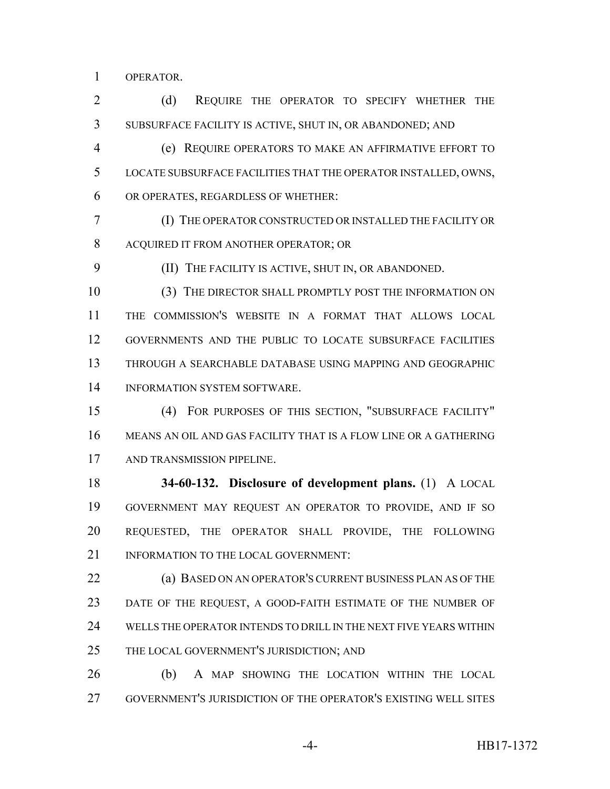OPERATOR.

2 (d) REQUIRE THE OPERATOR TO SPECIFY WHETHER THE SUBSURFACE FACILITY IS ACTIVE, SHUT IN, OR ABANDONED; AND

 (e) REQUIRE OPERATORS TO MAKE AN AFFIRMATIVE EFFORT TO LOCATE SUBSURFACE FACILITIES THAT THE OPERATOR INSTALLED, OWNS, OR OPERATES, REGARDLESS OF WHETHER:

 (I) THE OPERATOR CONSTRUCTED OR INSTALLED THE FACILITY OR ACQUIRED IT FROM ANOTHER OPERATOR; OR

(II) THE FACILITY IS ACTIVE, SHUT IN, OR ABANDONED.

 (3) THE DIRECTOR SHALL PROMPTLY POST THE INFORMATION ON THE COMMISSION'S WEBSITE IN A FORMAT THAT ALLOWS LOCAL GOVERNMENTS AND THE PUBLIC TO LOCATE SUBSURFACE FACILITIES THROUGH A SEARCHABLE DATABASE USING MAPPING AND GEOGRAPHIC INFORMATION SYSTEM SOFTWARE.

 (4) FOR PURPOSES OF THIS SECTION, "SUBSURFACE FACILITY" MEANS AN OIL AND GAS FACILITY THAT IS A FLOW LINE OR A GATHERING AND TRANSMISSION PIPELINE.

 **34-60-132. Disclosure of development plans.** (1) A LOCAL GOVERNMENT MAY REQUEST AN OPERATOR TO PROVIDE, AND IF SO REQUESTED, THE OPERATOR SHALL PROVIDE, THE FOLLOWING 21 INFORMATION TO THE LOCAL GOVERNMENT:

 (a) BASED ON AN OPERATOR'S CURRENT BUSINESS PLAN AS OF THE DATE OF THE REQUEST, A GOOD-FAITH ESTIMATE OF THE NUMBER OF WELLS THE OPERATOR INTENDS TO DRILL IN THE NEXT FIVE YEARS WITHIN 25 THE LOCAL GOVERNMENT'S JURISDICTION; AND

 (b) A MAP SHOWING THE LOCATION WITHIN THE LOCAL GOVERNMENT'S JURISDICTION OF THE OPERATOR'S EXISTING WELL SITES